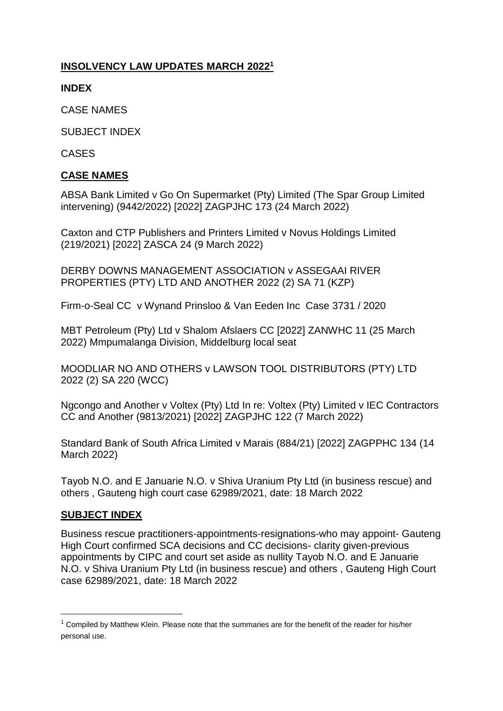# **INSOLVENCY LAW UPDATES MARCH 2022<sup>1</sup>**

**INDEX**

CASE NAMES

SUBJECT INDEX

CASES

### **CASE NAMES**

ABSA Bank Limited v Go On [Supermarket \(Pty\) Limited \(The Spar Group Limited](http://www.saflii.org/za/cases/ZAGPJHC/2022/173.html)  [intervening\) \(9442/2022\) \[2022\] ZAGPJHC 173 \(24 March 2022\)](http://www.saflii.org/za/cases/ZAGPJHC/2022/173.html)

[Caxton and CTP Publishers and Printers Limited v Novus Holdings Limited](http://www.saflii.org/za/cases/ZASCA/2022/24.html)  [\(219/2021\) \[2022\] ZASCA 24 \(9 March 2022\)](http://www.saflii.org/za/cases/ZASCA/2022/24.html)

DERBY DOWNS MANAGEMENT ASSOCIATION v ASSEGAAI RIVER PROPERTIES (PTY) LTD AND ANOTHER 2022 (2) SA 71 (KZP)

Firm-o-Seal CC v Wynand Prinsloo & Van Eeden Inc Case 3731 / 2020

[MBT Petroleum \(Pty\) Ltd v Shalom Afslaers CC \[2022\] ZANWHC 11 \(25 March](http://www.saflii.org/za/cases/ZANWHC/2022/11.html)  [2022\)](http://www.saflii.org/za/cases/ZANWHC/2022/11.html) Mmpumalanga Division, Middelburg local seat

MOODLIAR NO AND OTHERS v LAWSON TOOL DISTRIBUTORS (PTY) LTD 2022 (2) SA 220 (WCC)

[Ngcongo and Another v Voltex \(Pty\) Ltd In re: Voltex \(Pty\) Limited v IEC Contractors](http://www.saflii.org/za/cases/ZAGPJHC/2022/122.html)  [CC and Another \(9813/2021\) \[2022\] ZAGPJHC 122 \(7 March 2022\)](http://www.saflii.org/za/cases/ZAGPJHC/2022/122.html)

[Standard Bank of South Africa Limited v Marais \(884/21\) \[2022\] ZAGPPHC 134 \(14](http://www.saflii.org/za/cases/ZAGPPHC/2022/134.html)  [March 2022\)](http://www.saflii.org/za/cases/ZAGPPHC/2022/134.html)

Tayob N.O. and E Januarie N.O. v Shiva Uranium Pty Ltd (in business rescue) and others , Gauteng high court case 62989/2021, date: 18 March 2022

#### **SUBJECT INDEX**

**.** 

Business rescue practitioners-appointments-resignations-who may appoint- Gauteng High Court confirmed SCA decisions and CC decisions- clarity given-previous appointments by CIPC and court set aside as nullity Tayob N.O. and E Januarie N.O. v Shiva Uranium Pty Ltd (in business rescue) and others , Gauteng High Court case 62989/2021, date: 18 March 2022

 $1$  Compiled by Matthew Klein. Please note that the summaries are for the benefit of the reader for his/her personal use.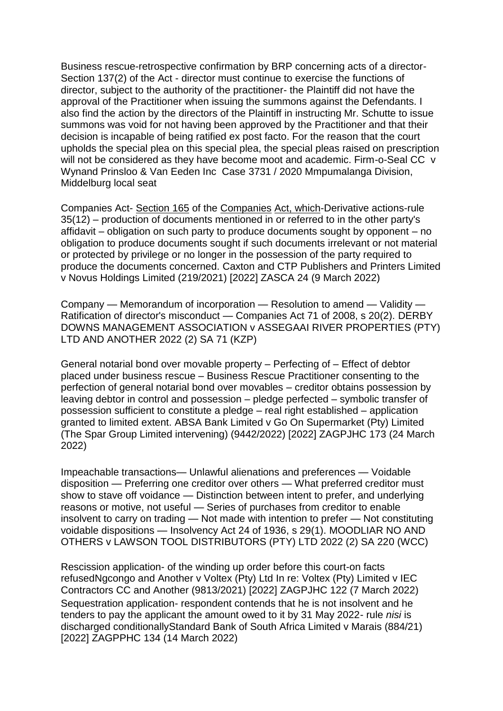Business rescue-retrospective confirmation by BRP concerning acts of a director-Section 137(2) of the Act - director must continue to exercise the functions of director, subject to the authority of the practitioner- the Plaintiff did not have the approval of the Practitioner when issuing the summons against the Defendants. I also find the action by the directors of the Plaintiff in instructing Mr. Schutte to issue summons was void for not having been approved by the Practitioner and that their decision is incapable of being ratified ex post facto. For the reason that the court upholds the special plea on this special plea, the special pleas raised on prescription will not be considered as they have become moot and academic. Firm-o-Seal CC v Wynand Prinsloo & Van Eeden Inc Case 3731 / 2020 Mmpumalanga Division, Middelburg local seat

Companies Act- [Section 165](http://www.saflii.org/za/legis/consol_act/ca2008107/index.html#s165) of the [Companies](http://www.saflii.org/za/legis/consol_act/ca2008107/) [Act, which-](http://www.saflii.org/za/legis/consol_act/ca2008107/)Derivative actions-rule 35(12) – production of documents mentioned in or referred to in the other party's affidavit – obligation on such party to produce documents sought by opponent – no obligation to produce documents sought if such documents irrelevant or not material or protected by privilege or no longer in the possession of the party required to produce the documents concerned. [Caxton and CTP Publishers and Printers Limited](http://www.saflii.org/za/cases/ZASCA/2022/24.html)  v [Novus Holdings Limited \(219/2021\) \[2022\] ZASCA 24 \(9 March 2022\)](http://www.saflii.org/za/cases/ZASCA/2022/24.html)

Company — Memorandum of incorporation — Resolution to amend — Validity — Ratification of director's misconduct — Companies Act 71 of 2008, s 20(2). DERBY DOWNS MANAGEMENT ASSOCIATION v ASSEGAAI RIVER PROPERTIES (PTY) LTD AND ANOTHER 2022 (2) SA 71 (KZP)

General notarial bond over movable property – Perfecting of – Effect of debtor placed under business rescue – Business Rescue Practitioner consenting to the perfection of general notarial bond over movables – creditor obtains possession by leaving debtor in control and possession – pledge perfected – symbolic transfer of possession sufficient to constitute a pledge – real right established – application granted to limited extent. [ABSA Bank Limited v Go On Supermarket \(Pty\) Limited](http://www.saflii.org/za/cases/ZAGPJHC/2022/173.html)  [\(The Spar Group Limited intervening\) \(9442/2022\) \[2022\] ZAGPJHC 173 \(24 March](http://www.saflii.org/za/cases/ZAGPJHC/2022/173.html)  [2022\)](http://www.saflii.org/za/cases/ZAGPJHC/2022/173.html)

Impeachable transactions— Unlawful alienations and preferences — Voidable disposition — Preferring one creditor over others — What preferred creditor must show to stave off voidance — Distinction between intent to prefer, and underlying reasons or motive, not useful — Series of purchases from creditor to enable insolvent to carry on trading — Not made with intention to prefer — Not constituting voidable dispositions — Insolvency Act 24 of 1936, s 29(1). MOODLIAR NO AND OTHERS v LAWSON TOOL DISTRIBUTORS (PTY) LTD 2022 (2) SA 220 (WCC)

Rescission application- of the winding up order before this court-on facts refuse[dNgcongo and Another v Voltex \(Pty\) Ltd In re: Voltex \(Pty\) Limited v IEC](http://www.saflii.org/za/cases/ZAGPJHC/2022/122.html)  [Contractors CC and Another \(9813/2021\) \[2022\] ZAGPJHC 122 \(7 March 2022\)](http://www.saflii.org/za/cases/ZAGPJHC/2022/122.html) Sequestration application- respondent contends that he is not insolvent and he tenders to pay the applicant the amount owed to it by 31 May 2022- rule *nisi* is discharged conditionall[yStandard Bank of South Africa Limited v Marais \(884/21\)](http://www.saflii.org/za/cases/ZAGPPHC/2022/134.html)  [\[2022\] ZAGPPHC 134 \(14 March 2022\)](http://www.saflii.org/za/cases/ZAGPPHC/2022/134.html)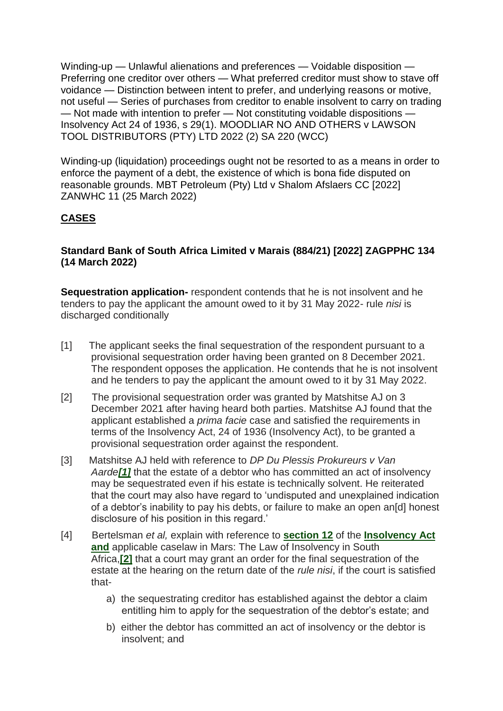Winding-up — Unlawful alienations and preferences — Voidable disposition — Preferring one creditor over others — What preferred creditor must show to stave off voidance — Distinction between intent to prefer, and underlying reasons or motive, not useful — Series of purchases from creditor to enable insolvent to carry on trading — Not made with intention to prefer — Not constituting voidable dispositions — Insolvency Act 24 of 1936, s 29(1). MOODLIAR NO AND OTHERS v LAWSON TOOL DISTRIBUTORS (PTY) LTD 2022 (2) SA 220 (WCC)

Winding-up (liquidation) proceedings ought not be resorted to as a means in order to enforce the payment of a debt, the existence of which is bona fide disputed on reasonable grounds. [MBT Petroleum \(Pty\) Ltd v Shalom Afslaers CC \[2022\]](http://www.saflii.org/za/cases/ZANWHC/2022/11.html)  [ZANWHC 11 \(25 March 2022\)](http://www.saflii.org/za/cases/ZANWHC/2022/11.html)

# **CASES**

### **[Standard Bank of South Africa Limited v Marais \(884/21\) \[2022\] ZAGPPHC 134](http://www.saflii.org/za/cases/ZAGPPHC/2022/134.html)  [\(14 March 2022\)](http://www.saflii.org/za/cases/ZAGPPHC/2022/134.html)**

**Sequestration application-** respondent contends that he is not insolvent and he tenders to pay the applicant the amount owed to it by 31 May 2022- rule *nisi* is discharged conditionally

- [1] The applicant seeks the final sequestration of the respondent pursuant to a provisional sequestration order having been granted on 8 December 2021. The respondent opposes the application. He contends that he is not insolvent and he tenders to pay the applicant the amount owed to it by 31 May 2022.
- [2] The provisional sequestration order was granted by Matshitse AJ on 3 December 2021 after having heard both parties. Matshitse AJ found that the applicant established a *prima facie* case and satisfied the requirements in terms of the Insolvency Act, 24 of 1936 (Insolvency Act), to be granted a provisional sequestration order against the respondent.
- [3] Matshitse AJ held with reference to *DP Du Plessis Prokureurs v Van Aarde[\[1\]](http://www.saflii.org/za/cases/ZAGPPHC/2022/134.html#_ftn1)* that the estate of a debtor who has committed an act of insolvency may be sequestrated even if his estate is technically solvent. He reiterated that the court may also have regard to 'undisputed and unexplained indication of a debtor's inability to pay his debts, or failure to make an open an[d] honest disclosure of his position in this regard.'
- [4] Bertelsman *et al,* explain with reference to **[section 12](http://www.saflii.org/za/legis/consol_act/ia1936149/index.html#s12)** of the **[Insolvency Act](http://www.saflii.org/za/legis/consol_act/ia1936149/)  [and](http://www.saflii.org/za/legis/consol_act/ia1936149/)** applicable caselaw in Mars: The Law of Insolvency in South Africa,**[\[2\]](http://www.saflii.org/za/cases/ZAGPPHC/2022/134.html#_ftn2)** that a court may grant an order for the final sequestration of the estate at the hearing on the return date of the *rule nisi*, if the court is satisfied that
	- a) the sequestrating creditor has established against the debtor a claim entitling him to apply for the sequestration of the debtor's estate; and
	- b) either the debtor has committed an act of insolvency or the debtor is insolvent; and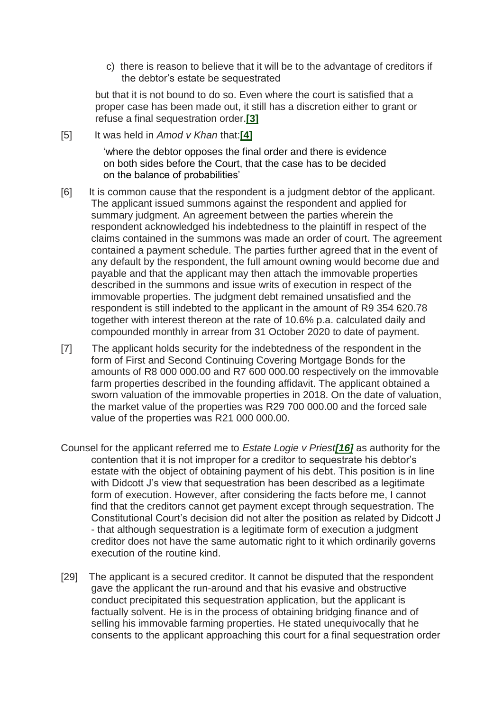c) there is reason to believe that it will be to the advantage of creditors if the debtor's estate be sequestrated

but that it is not bound to do so. Even where the court is satisfied that a proper case has been made out, it still has a discretion either to grant or refuse a final sequestration order.**[\[3\]](http://www.saflii.org/za/cases/ZAGPPHC/2022/134.html#_ftn3)**

[5] It was held in *Amod v Khan* that:**[\[4\]](http://www.saflii.org/za/cases/ZAGPPHC/2022/134.html#_ftn4)**

'where the debtor opposes the final order and there is evidence on both sides before the Court, that the case has to be decided on the balance of probabilities'

- [6] It is common cause that the respondent is a judgment debtor of the applicant. The applicant issued summons against the respondent and applied for summary judgment. An agreement between the parties wherein the respondent acknowledged his indebtedness to the plaintiff in respect of the claims contained in the summons was made an order of court. The agreement contained a payment schedule. The parties further agreed that in the event of any default by the respondent, the full amount owning would become due and payable and that the applicant may then attach the immovable properties described in the summons and issue writs of execution in respect of the immovable properties. The judgment debt remained unsatisfied and the respondent is still indebted to the applicant in the amount of R9 354 620.78 together with interest thereon at the rate of 10.6% p.a. calculated daily and compounded monthly in arrear from 31 October 2020 to date of payment.
- [7] The applicant holds security for the indebtedness of the respondent in the form of First and Second Continuing Covering Mortgage Bonds for the amounts of R8 000 000.00 and R7 600 000.00 respectively on the immovable farm properties described in the founding affidavit. The applicant obtained a sworn valuation of the immovable properties in 2018. On the date of valuation, the market value of the properties was R29 700 000.00 and the forced sale value of the properties was R21 000 000.00.
- Counsel for the applicant referred me to *Estate Logie v Priest[\[16\]](http://www.saflii.org/za/cases/ZAGPPHC/2022/134.html#_ftn16)* as authority for the contention that it is not improper for a creditor to sequestrate his debtor's estate with the object of obtaining payment of his debt. This position is in line with Didcott J's view that sequestration has been described as a legitimate form of execution. However, after considering the facts before me, I cannot find that the creditors cannot get payment except through sequestration. The Constitutional Court's decision did not alter the position as related by Didcott J - that although sequestration is a legitimate form of execution a judgment creditor does not have the same automatic right to it which ordinarily governs execution of the routine kind.
- [29] The applicant is a secured creditor. It cannot be disputed that the respondent gave the applicant the run-around and that his evasive and obstructive conduct precipitated this sequestration application, but the applicant is factually solvent. He is in the process of obtaining bridging finance and of selling his immovable farming properties. He stated unequivocally that he consents to the applicant approaching this court for a final sequestration order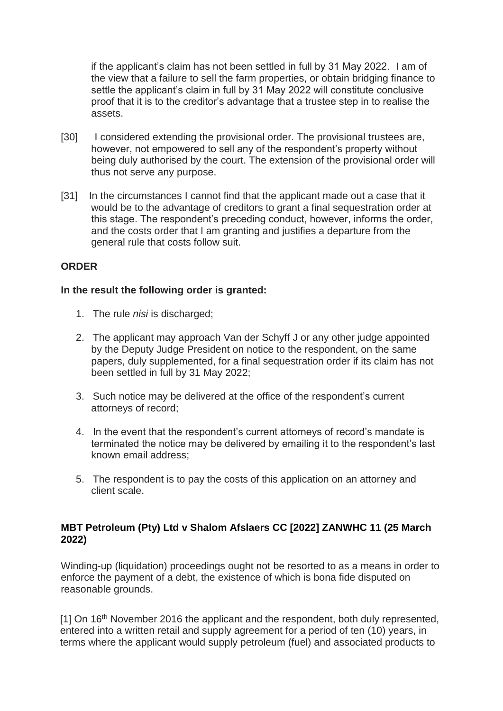if the applicant's claim has not been settled in full by 31 May 2022. I am of the view that a failure to sell the farm properties, or obtain bridging finance to settle the applicant's claim in full by 31 May 2022 will constitute conclusive proof that it is to the creditor's advantage that a trustee step in to realise the assets.

- [30] I considered extending the provisional order. The provisional trustees are, however, not empowered to sell any of the respondent's property without being duly authorised by the court. The extension of the provisional order will thus not serve any purpose.
- [31] In the circumstances I cannot find that the applicant made out a case that it would be to the advantage of creditors to grant a final sequestration order at this stage. The respondent's preceding conduct, however, informs the order, and the costs order that I am granting and justifies a departure from the general rule that costs follow suit.

## **ORDER**

#### **In the result the following order is granted:**

- 1. The rule *nisi* is discharged;
- 2. The applicant may approach Van der Schyff J or any other judge appointed by the Deputy Judge President on notice to the respondent, on the same papers, duly supplemented, for a final sequestration order if its claim has not been settled in full by 31 May 2022;
- 3. Such notice may be delivered at the office of the respondent's current attorneys of record;
- 4. In the event that the respondent's current attorneys of record's mandate is terminated the notice may be delivered by emailing it to the respondent's last known email address;
- 5. The respondent is to pay the costs of this application on an attorney and client scale.

## **[MBT Petroleum \(Pty\) Ltd v Shalom Afslaers CC \[2022\] ZANWHC 11 \(25 March](http://www.saflii.org/za/cases/ZANWHC/2022/11.html)  [2022\)](http://www.saflii.org/za/cases/ZANWHC/2022/11.html)**

Winding-up (liquidation) proceedings ought not be resorted to as a means in order to enforce the payment of a debt, the existence of which is bona fide disputed on reasonable grounds.

[1] On 16<sup>th</sup> November 2016 the applicant and the respondent, both duly represented, entered into a written retail and supply agreement for a period of ten (10) years, in terms where the applicant would supply petroleum (fuel) and associated products to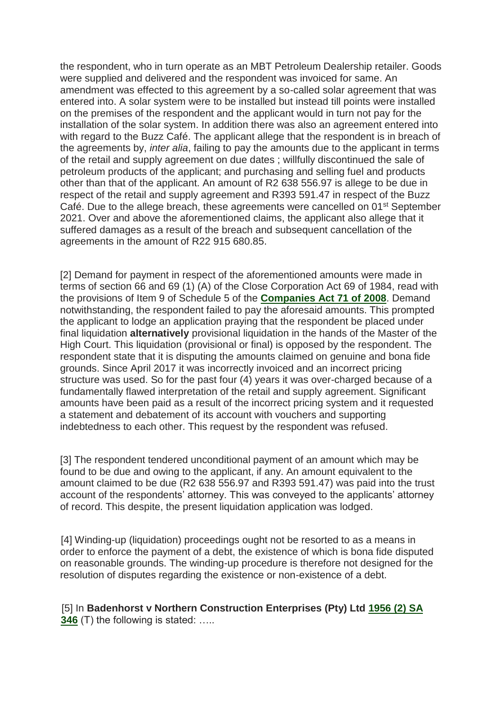the respondent, who in turn operate as an MBT Petroleum Dealership retailer. Goods were supplied and delivered and the respondent was invoiced for same. An amendment was effected to this agreement by a so-called solar agreement that was entered into. A solar system were to be installed but instead till points were installed on the premises of the respondent and the applicant would in turn not pay for the installation of the solar system. In addition there was also an agreement entered into with regard to the Buzz Café. The applicant allege that the respondent is in breach of the agreements by, *inter alia*, failing to pay the amounts due to the applicant in terms of the retail and supply agreement on due dates ; willfully discontinued the sale of petroleum products of the applicant; and purchasing and selling fuel and products other than that of the applicant. An amount of R2 638 556.97 is allege to be due in respect of the retail and supply agreement and R393 591.47 in respect of the Buzz Café. Due to the allege breach, these agreements were cancelled on 01<sup>st</sup> September 2021. Over and above the aforementioned claims, the applicant also allege that it suffered damages as a result of the breach and subsequent cancellation of the agreements in the amount of R22 915 680.85.

[2] Demand for payment in respect of the aforementioned amounts were made in terms of section 66 and 69 (1) (A) of the Close Corporation Act 69 of 1984, read with the provisions of Item 9 of Schedule 5 of the **[Companies Act 71 of](http://www.saflii.org/za/legis/consol_act/ca2008107/) [2008](http://www.saflii.org/za/legis/consol_act/ca2008107/)**. Demand notwithstanding, the respondent failed to pay the aforesaid amounts. This prompted the applicant to lodge an application praying that the respondent be placed under final liquidation **alternatively** provisional liquidation in the hands of the Master of the High Court. This liquidation (provisional or final) is opposed by the respondent. The respondent state that it is disputing the amounts claimed on genuine and bona fide grounds. Since April 2017 it was incorrectly invoiced and an incorrect pricing structure was used. So for the past four (4) years it was over-charged because of a fundamentally flawed interpretation of the retail and supply agreement. Significant amounts have been paid as a result of the incorrect pricing system and it requested a statement and debatement of its account with vouchers and supporting indebtedness to each other. This request by the respondent was refused.

[3] The respondent tendered unconditional payment of an amount which may be found to be due and owing to the applicant, if any. An amount equivalent to the amount claimed to be due (R2 638 556.97 and R393 591.47) was paid into the trust account of the respondents' attorney. This was conveyed to the applicants' attorney of record. This despite, the present liquidation application was lodged.

[4] Winding-up (liquidation) proceedings ought not be resorted to as a means in order to enforce the payment of a debt, the existence of which is bona fide disputed on reasonable grounds. The winding-up procedure is therefore not designed for the resolution of disputes regarding the existence or non-existence of a debt.

[5] In **Badenhorst v Northern Construction Enterprises (Pty) Ltd [1956 \(2\) SA](http://www.saflii.org/cgi-bin/LawCite?cit=1956%20%282%29%20SA%20346)  [346](http://www.saflii.org/cgi-bin/LawCite?cit=1956%20%282%29%20SA%20346)** (T) the following is stated: .....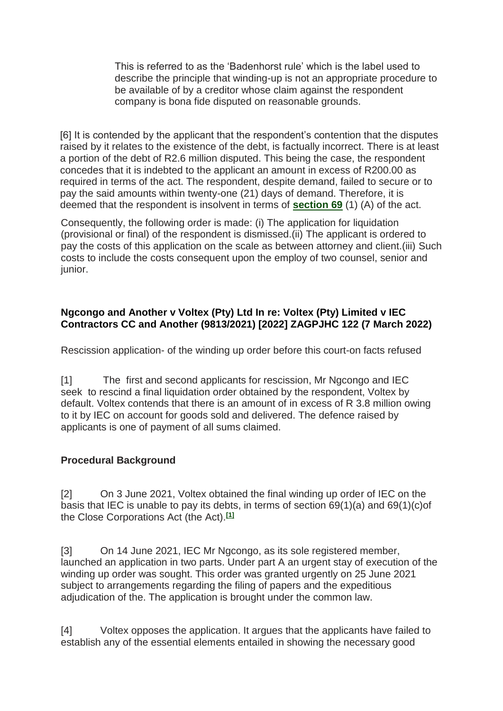This is referred to as the 'Badenhorst rule' which is the label used to describe the principle that winding-up is not an appropriate procedure to be available of by a creditor whose claim against the respondent company is bona fide disputed on reasonable grounds.

[6] It is contended by the applicant that the respondent's contention that the disputes raised by it relates to the existence of the debt, is factually incorrect. There is at least a portion of the debt of R2.6 million disputed. This being the case, the respondent concedes that it is indebted to the applicant an amount in excess of R200.00 as required in terms of the act. The respondent, despite demand, failed to secure or to pay the said amounts within twenty-one (21) days of demand. Therefore, it is deemed that the respondent is insolvent in terms of **[section 69](http://www.saflii.org/za/legis/consol_act/ca2008107/index.html#s69)** (1) (A) of the act.

Consequently, the following order is made: (i) The application for liquidation (provisional or final) of the respondent is dismissed.(ii) The applicant is ordered to pay the costs of this application on the scale as between attorney and client.(iii) Such costs to include the costs consequent upon the employ of two counsel, senior and junior.

### **[Ngcongo and Another v Voltex \(Pty\) Ltd In re: Voltex \(Pty\) Limited v IEC](http://www.saflii.org/za/cases/ZAGPJHC/2022/122.html)  [Contractors CC and Another \(9813/2021\) \[2022\] ZAGPJHC 122 \(7 March 2022\)](http://www.saflii.org/za/cases/ZAGPJHC/2022/122.html)**

Rescission application- of the winding up order before this court-on facts refused

[1] The first and second applicants for rescission, Mr Ngcongo and IEC seek to rescind a final liquidation order obtained by the respondent, Voltex by default. Voltex contends that there is an amount of in excess of R 3.8 million owing to it by IEC on account for goods sold and delivered. The defence raised by applicants is one of payment of all sums claimed.

## **Procedural Background**

[2] On 3 June 2021, Voltex obtained the final winding up order of IEC on the basis that IEC is unable to pay its debts, in terms of section 69(1)(a) and 69(1)(c)of the Close Corporations Act (the Act).**[\[1\]](http://www.saflii.org/za/cases/ZAGPJHC/2022/122.html#_ftn1)**

[3] On 14 June 2021, IEC Mr Ngcongo, as its sole registered member, launched an application in two parts. Under part A an urgent stay of execution of the winding up order was sought. This order was granted urgently on 25 June 2021 subject to arrangements regarding the filing of papers and the expeditious adjudication of the. The application is brought under the common law.

[4] Voltex opposes the application. It argues that the applicants have failed to establish any of the essential elements entailed in showing the necessary good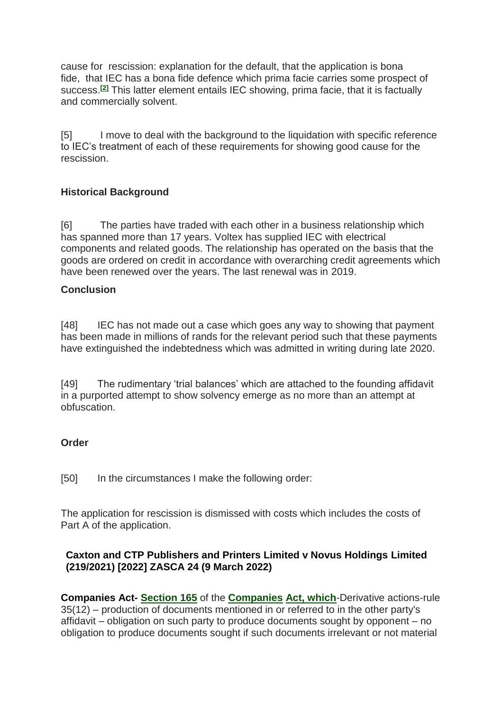cause for rescission: explanation for the default, that the application is bona fide, that IEC has a bona fide defence which prima facie carries some prospect of success.**[\[2\]](http://www.saflii.org/za/cases/ZAGPJHC/2022/122.html#_ftn2)** This latter element entails IEC showing, prima facie, that it is factually and commercially solvent.

[5] I move to deal with the background to the liquidation with specific reference to IEC's treatment of each of these requirements for showing good cause for the rescission.

## **Historical Background**

[6] The parties have traded with each other in a business relationship which has spanned more than 17 years. Voltex has supplied IEC with electrical components and related goods. The relationship has operated on the basis that the goods are ordered on credit in accordance with overarching credit agreements which have been renewed over the years. The last renewal was in 2019.

### **Conclusion**

[48] IEC has not made out a case which goes any way to showing that payment has been made in millions of rands for the relevant period such that these payments have extinguished the indebtedness which was admitted in writing during late 2020.

[49] The rudimentary 'trial balances' which are attached to the founding affidavit in a purported attempt to show solvency emerge as no more than an attempt at obfuscation.

#### **Order**

[50] In the circumstances I make the following order:

The application for rescission is dismissed with costs which includes the costs of Part A of the application.

### **[Caxton and CTP Publishers and Printers Limited v Novus Holdings Limited](http://www.saflii.org/za/cases/ZASCA/2022/24.html)  [\(219/2021\) \[2022\] ZASCA 24 \(9 March 2022\)](http://www.saflii.org/za/cases/ZASCA/2022/24.html)**

**Companies Act- [Section 165](http://www.saflii.org/za/legis/consol_act/ca2008107/index.html#s165)** of the **[Companies](http://www.saflii.org/za/legis/consol_act/ca2008107/) [Act, which](http://www.saflii.org/za/legis/consol_act/ca2008107/)**-Derivative actions-rule 35(12) – production of documents mentioned in or referred to in the other party's affidavit – obligation on such party to produce documents sought by opponent – no obligation to produce documents sought if such documents irrelevant or not material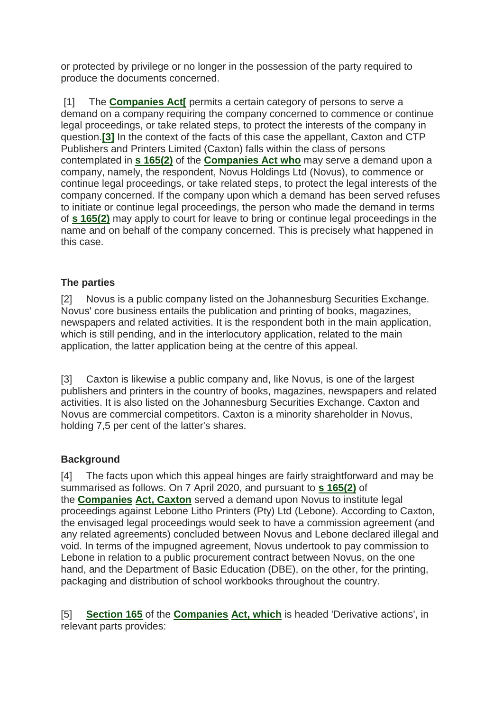or protected by privilege or no longer in the possession of the party required to produce the documents concerned.

[1] The **[Companies Act\[](http://www.saflii.org/za/legis/consol_act/ca2008107/)** permits a certain category of persons to serve a demand on a company requiring the company concerned to commence or continue legal proceedings, or take related steps, to protect the interests of the company in question.**[\[3\]](http://www.saflii.org/za/cases/ZASCA/2022/24.html#_ftn3)** In the context of the facts of this case the appellant, Caxton and CTP Publishers and Printers Limited (Caxton) falls within the class of persons contemplated in **[s 165\(2\)](http://www.saflii.org/za/legis/consol_act/ca2008107/index.html#s165)** of the **[Companies Act who](http://www.saflii.org/za/legis/consol_act/ca2008107/)** may serve a demand upon a company, namely, the respondent, Novus Holdings Ltd (Novus), to commence or continue legal proceedings, or take related steps, to protect the legal interests of the company concerned. If the company upon which a demand has been served refuses to initiate or continue legal proceedings, the person who made the demand in terms of **[s 165\(2\)](http://www.saflii.org/za/legis/consol_act/ca2008107/index.html#s165)** may apply to court for leave to bring or continue legal proceedings in the name and on behalf of the company concerned. This is precisely what happened in this case.

# **The parties**

[2] Novus is a public company listed on the Johannesburg Securities Exchange. Novus' core business entails the publication and printing of books, magazines, newspapers and related activities. It is the respondent both in the main application, which is still pending, and in the interlocutory application, related to the main application, the latter application being at the centre of this appeal.

[3] Caxton is likewise a public company and, like Novus, is one of the largest publishers and printers in the country of books, magazines, newspapers and related activities. It is also listed on the Johannesburg Securities Exchange. Caxton and Novus are commercial competitors. Caxton is a minority shareholder in Novus, holding 7,5 per cent of the latter's shares.

## **Background**

[4] The facts upon which this appeal hinges are fairly straightforward and may be summarised as follows. On 7 April 2020, and pursuant to **[s 165\(2\)](http://www.saflii.org/za/legis/consol_act/ca2008107/index.html#s165)** of the **[Companies](http://www.saflii.org/za/legis/consol_act/ca2008107/) [Act, Caxton](http://www.saflii.org/za/legis/consol_act/ca2008107/)** served a demand upon Novus to institute legal proceedings against Lebone Litho Printers (Pty) Ltd (Lebone). According to Caxton, the envisaged legal proceedings would seek to have a commission agreement (and any related agreements) concluded between Novus and Lebone declared illegal and void. In terms of the impugned agreement, Novus undertook to pay commission to Lebone in relation to a public procurement contract between Novus, on the one hand, and the Department of Basic Education (DBE), on the other, for the printing, packaging and distribution of school workbooks throughout the country.

[5] **[Section 165](http://www.saflii.org/za/legis/consol_act/ca2008107/index.html#s165)** of the **[Companies](http://www.saflii.org/za/legis/consol_act/ca2008107/) [Act, which](http://www.saflii.org/za/legis/consol_act/ca2008107/)** is headed 'Derivative actions', in relevant parts provides: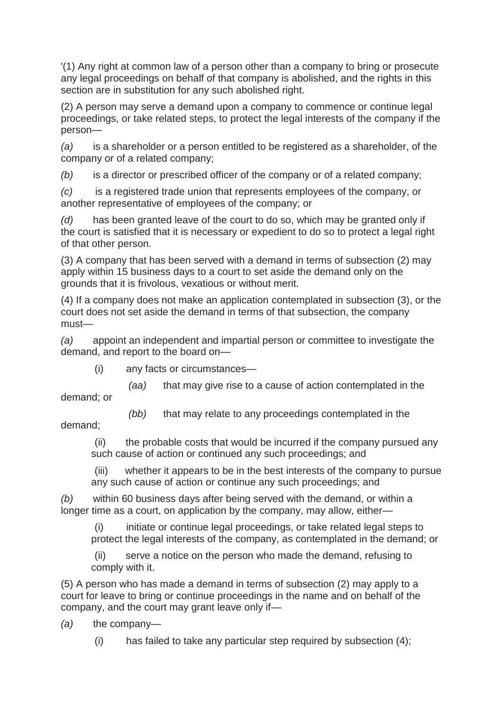'(1) Any right at common law of a person other than a company to bring or prosecute any legal proceedings on behalf of that company is abolished, and the rights in this section are in substitution for any such abolished right.

(2) A person may serve a demand upon a company to commence or continue legal proceedings, or take related steps, to protect the legal interests of the company if the person—

*(a)* is a shareholder or a person entitled to be registered as a shareholder, of the company or of a related company;

*(b)* is a director or prescribed officer of the company or of a related company;

*(c)* is a registered trade union that represents employees of the company, or another representative of employees of the company; or

*(d)* has been granted leave of the court to do so, which may be granted only if the court is satisfied that it is necessary or expedient to do so to protect a legal right of that other person.

(3) A company that has been served with a demand in terms of subsection (2) may apply within 15 business days to a court to set aside the demand only on the grounds that it is frivolous, vexatious or without merit.

(4) If a company does not make an application contemplated in subsection (3), or the court does not set aside the demand in terms of that subsection, the company must—

*(a)* appoint an independent and impartial person or committee to investigate the demand, and report to the board on—

(i) any facts or circumstances—

*(aa)* that may give rise to a cause of action contemplated in the

demand; or

*(bb)* that may relate to any proceedings contemplated in the

demand;

 (ii) the probable costs that would be incurred if the company pursued any such cause of action or continued any such proceedings; and

 (iii) whether it appears to be in the best interests of the company to pursue any such cause of action or continue any such proceedings; and

*(b)* within 60 business days after being served with the demand, or within a longer time as a court, on application by the company, may allow, either—

 (i) initiate or continue legal proceedings, or take related legal steps to protect the legal interests of the company, as contemplated in the demand; or

 (ii) serve a notice on the person who made the demand, refusing to comply with it.

(5) A person who has made a demand in terms of subsection (2) may apply to a court for leave to bring or continue proceedings in the name and on behalf of the company, and the court may grant leave only if—

*(a)* the company—

(i) has failed to take any particular step required by subsection (4);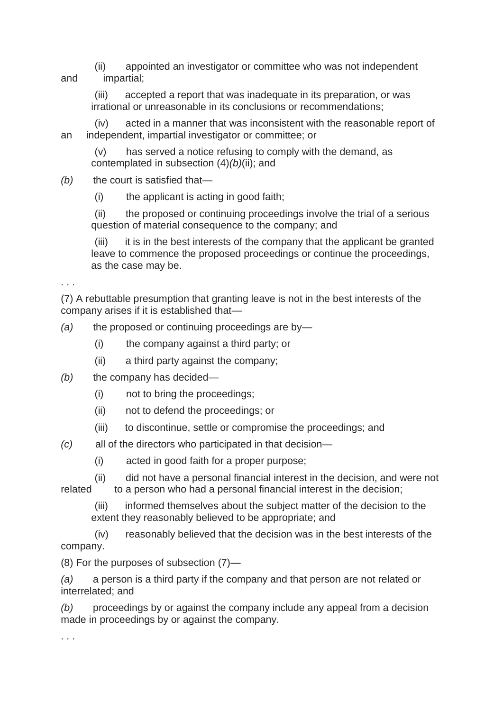(ii) appointed an investigator or committee who was not independent and impartial;

 (iii) accepted a report that was inadequate in its preparation, or was irrational or unreasonable in its conclusions or recommendations;

 (iv) acted in a manner that was inconsistent with the reasonable report of an independent, impartial investigator or committee; or

 (v) has served a notice refusing to comply with the demand, as contemplated in subsection (4)*(b)*(ii); and

*(b)* the court is satisfied that—

(i) the applicant is acting in good faith;

 (ii) the proposed or continuing proceedings involve the trial of a serious question of material consequence to the company; and

(iii) it is in the best interests of the company that the applicant be granted leave to commence the proposed proceedings or continue the proceedings, as the case may be.

. . .

(7) A rebuttable presumption that granting leave is not in the best interests of the company arises if it is established that—

- *(a)* the proposed or continuing proceedings are by—
	- (i) the company against a third party; or
	- (ii) a third party against the company;
- *(b)* the company has decided—
	- (i) not to bring the proceedings;
	- (ii) not to defend the proceedings; or
	- (iii) to discontinue, settle or compromise the proceedings; and
- *(c)* all of the directors who participated in that decision—
	- (i) acted in good faith for a proper purpose;
- (ii) did not have a personal financial interest in the decision, and were not related to a person who had a personal financial interest in the decision;

 (iii) informed themselves about the subject matter of the decision to the extent they reasonably believed to be appropriate; and

 (iv) reasonably believed that the decision was in the best interests of the company.

(8) For the purposes of subsection (7)—

*(a)* a person is a third party if the company and that person are not related or interrelated; and

*(b)* proceedings by or against the company include any appeal from a decision made in proceedings by or against the company.

. . .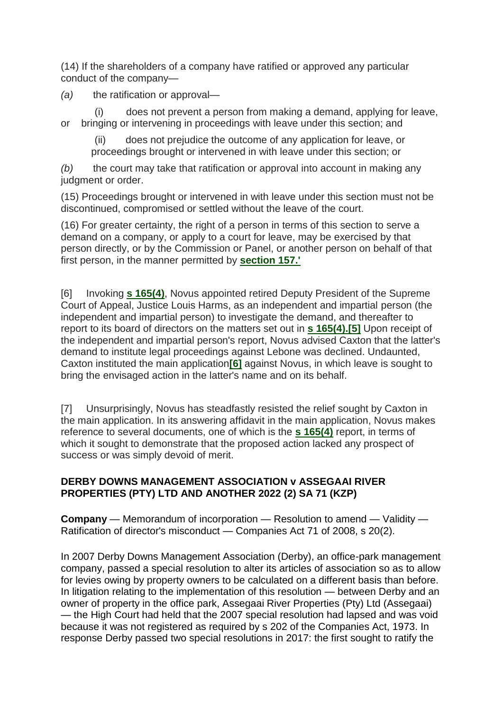(14) If the shareholders of a company have ratified or approved any particular conduct of the company—

*(a)* the ratification or approval—

 (i) does not prevent a person from making a demand, applying for leave, or bringing or intervening in proceedings with leave under this section; and

 (ii) does not prejudice the outcome of any application for leave, or proceedings brought or intervened in with leave under this section; or

*(b)* the court may take that ratification or approval into account in making any judgment or order.

(15) Proceedings brought or intervened in with leave under this section must not be discontinued, compromised or settled without the leave of the court.

(16) For greater certainty, the right of a person in terms of this section to serve a demand on a company, or apply to a court for leave, may be exercised by that person directly, or by the Commission or Panel, or another person on behalf of that first person, in the manner permitted by **[section 157.'](http://www.saflii.org/za/legis/consol_act/ca2008107/index.html#s157)**

[6] Invoking **[s 165\(4\)](http://www.saflii.org/za/legis/consol_act/ca2008107/index.html#s165)**, Novus appointed retired Deputy President of the Supreme Court of Appeal, Justice Louis Harms, as an independent and impartial person (the independent and impartial person) to investigate the demand, and thereafter to report to its board of directors on the matters set out in **[s 165\(4\).\[5\]](http://www.saflii.org/za/legis/consol_act/ca2008107/index.html#s165)** Upon receipt of the independent and impartial person's report, Novus advised Caxton that the latter's demand to institute legal proceedings against Lebone was declined. Undaunted, Caxton instituted the main application**[\[6\]](http://www.saflii.org/za/cases/ZASCA/2022/24.html#_ftn6)** against Novus, in which leave is sought to bring the envisaged action in the latter's name and on its behalf.

[7] Unsurprisingly, Novus has steadfastly resisted the relief sought by Caxton in the main application. In its answering affidavit in the main application, Novus makes reference to several documents, one of which is the **[s 165\(4\)](http://www.saflii.org/za/legis/consol_act/ca2008107/index.html#s165)** report, in terms of which it sought to demonstrate that the proposed action lacked any prospect of success or was simply devoid of merit.

## **DERBY DOWNS MANAGEMENT ASSOCIATION v ASSEGAAI RIVER PROPERTIES (PTY) LTD AND ANOTHER 2022 (2) SA 71 (KZP)**

**Company** — Memorandum of incorporation — Resolution to amend — Validity — Ratification of director's misconduct — Companies Act 71 of 2008, s 20(2).

In 2007 Derby Downs Management Association (Derby), an office-park management company, passed a special resolution to alter its articles of association so as to allow for levies owing by property owners to be calculated on a different basis than before. In litigation relating to the implementation of this resolution — between Derby and an owner of property in the office park, Assegaai River Properties (Pty) Ltd (Assegaai) — the High Court had held that the 2007 special resolution had lapsed and was void because it was not registered as required by s 202 of the Companies Act, 1973. In response Derby passed two special resolutions in 2017: the first sought to ratify the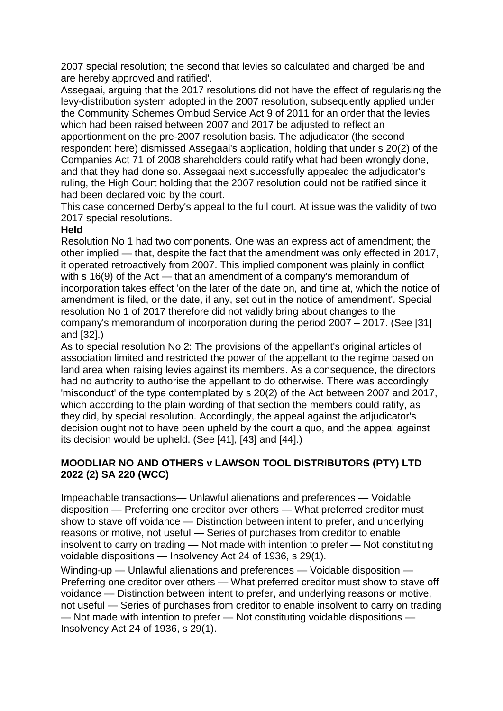2007 special resolution; the second that levies so calculated and charged 'be and are hereby approved and ratified'.

Assegaai, arguing that the 2017 resolutions did not have the effect of regularising the levy-distribution system adopted in the 2007 resolution, subsequently applied under the Community Schemes Ombud Service Act 9 of 2011 for an order that the levies which had been raised between 2007 and 2017 be adjusted to reflect an apportionment on the pre-2007 resolution basis. The adjudicator (the second respondent here) dismissed Assegaai's application, holding that under s 20(2) of the Companies Act 71 of 2008 shareholders could ratify what had been wrongly done, and that they had done so. Assegaai next successfully appealed the adjudicator's ruling, the High Court holding that the 2007 resolution could not be ratified since it had been declared void by the court.

This case concerned Derby's appeal to the full court. At issue was the validity of two 2017 special resolutions.

#### **Held**

Resolution No 1 had two components. One was an express act of amendment; the other implied — that, despite the fact that the amendment was only effected in 2017, it operated retroactively from 2007. This implied component was plainly in conflict with s 16(9) of the Act — that an amendment of a company's memorandum of incorporation takes effect 'on the later of the date on, and time at, which the notice of amendment is filed, or the date, if any, set out in the notice of amendment'. Special resolution No 1 of 2017 therefore did not validly bring about changes to the company's memorandum of incorporation during the period 2007 – 2017. (See [31] and [32].)

As to special resolution No 2: The provisions of the appellant's original articles of association limited and restricted the power of the appellant to the regime based on land area when raising levies against its members. As a consequence, the directors had no authority to authorise the appellant to do otherwise. There was accordingly 'misconduct' of the type contemplated by s 20(2) of the Act between 2007 and 2017, which according to the plain wording of that section the members could ratify, as they did, by special resolution. Accordingly, the appeal against the adjudicator's decision ought not to have been upheld by the court a quo, and the appeal against its decision would be upheld. (See [41], [43] and [44].)

### **MOODLIAR NO AND OTHERS v LAWSON TOOL DISTRIBUTORS (PTY) LTD 2022 (2) SA 220 (WCC)**

Impeachable transactions— Unlawful alienations and preferences — Voidable disposition — Preferring one creditor over others — What preferred creditor must show to stave off voidance — Distinction between intent to prefer, and underlying reasons or motive, not useful — Series of purchases from creditor to enable insolvent to carry on trading — Not made with intention to prefer — Not constituting voidable dispositions — Insolvency Act 24 of 1936, s 29(1).

Winding-up — Unlawful alienations and preferences — Voidable disposition — Preferring one creditor over others — What preferred creditor must show to stave off voidance — Distinction between intent to prefer, and underlying reasons or motive, not useful — Series of purchases from creditor to enable insolvent to carry on trading — Not made with intention to prefer — Not constituting voidable dispositions — Insolvency Act 24 of 1936, s 29(1).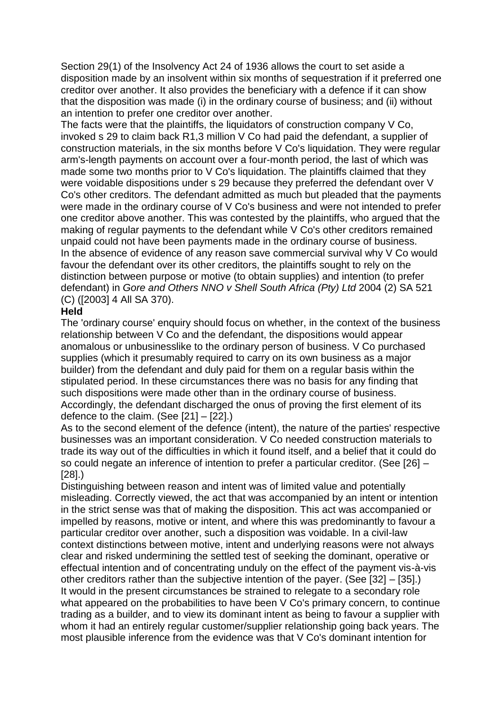Section 29(1) of the Insolvency Act 24 of 1936 allows the court to set aside a disposition made by an insolvent within six months of sequestration if it preferred one creditor over another. It also provides the beneficiary with a defence if it can show that the disposition was made (i) in the ordinary course of business; and (ii) without an intention to prefer one creditor over another.

The facts were that the plaintiffs, the liquidators of construction company V Co, invoked s 29 to claim back R1,3 million V Co had paid the defendant, a supplier of construction materials, in the six months before V Co's liquidation. They were regular arm's-length payments on account over a four-month period, the last of which was made some two months prior to V Co's liquidation. The plaintiffs claimed that they were voidable dispositions under s 29 because they preferred the defendant over V Co's other creditors. The defendant admitted as much but pleaded that the payments were made in the ordinary course of V Co's business and were not intended to prefer one creditor above another. This was contested by the plaintiffs, who argued that the making of regular payments to the defendant while V Co's other creditors remained unpaid could not have been payments made in the ordinary course of business. In the absence of evidence of any reason save commercial survival why V Co would favour the defendant over its other creditors, the plaintiffs sought to rely on the distinction between purpose or motive (to obtain supplies) and intention (to prefer defendant) in *Gore and Others NNO v Shell South Africa (Pty) Ltd* 2004 (2) SA 521 (C) ([2003] 4 All SA 370).

#### **Held**

The 'ordinary course' enquiry should focus on whether, in the context of the business relationship between V Co and the defendant, the dispositions would appear anomalous or unbusinesslike to the ordinary person of business. V Co purchased supplies (which it presumably required to carry on its own business as a major builder) from the defendant and duly paid for them on a regular basis within the stipulated period. In these circumstances there was no basis for any finding that such dispositions were made other than in the ordinary course of business. Accordingly, the defendant discharged the onus of proving the first element of its defence to the claim. (See [21] – [22].)

As to the second element of the defence (intent), the nature of the parties' respective businesses was an important consideration. V Co needed construction materials to trade its way out of the difficulties in which it found itself, and a belief that it could do so could negate an inference of intention to prefer a particular creditor. (See [26] – [28].)

Distinguishing between reason and intent was of limited value and potentially misleading. Correctly viewed, the act that was accompanied by an intent or intention in the strict sense was that of making the disposition. This act was accompanied or impelled by reasons, motive or intent, and where this was predominantly to favour a particular creditor over another, such a disposition was voidable. In a civil-law context distinctions between motive, intent and underlying reasons were not always clear and risked undermining the settled test of seeking the dominant, operative or effectual intention and of concentrating unduly on the effect of the payment vis-à-vis other creditors rather than the subjective intention of the payer. (See [32] – [35].) It would in the present circumstances be strained to relegate to a secondary role what appeared on the probabilities to have been V Co's primary concern, to continue trading as a builder, and to view its dominant intent as being to favour a supplier with whom it had an entirely regular customer/supplier relationship going back years. The most plausible inference from the evidence was that V Co's dominant intention for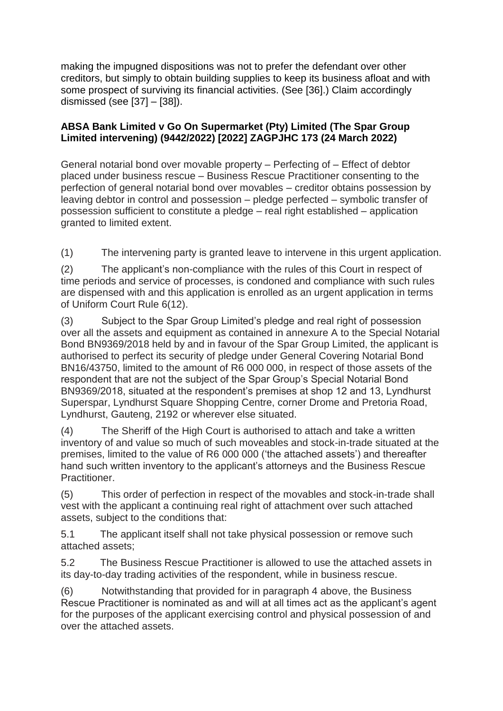making the impugned dispositions was not to prefer the defendant over other creditors, but simply to obtain building supplies to keep its business afloat and with some prospect of surviving its financial activities. (See [36].) Claim accordingly dismissed (see [37] – [38]).

### **[ABSA Bank Limited v Go On Supermarket \(Pty\) Limited \(The Spar Group](http://www.saflii.org/za/cases/ZAGPJHC/2022/173.html)  [Limited intervening\) \(9442/2022\) \[2022\] ZAGPJHC 173 \(24 March 2022\)](http://www.saflii.org/za/cases/ZAGPJHC/2022/173.html)**

General notarial bond over movable property – Perfecting of – Effect of debtor placed under business rescue – Business Rescue Practitioner consenting to the perfection of general notarial bond over movables – creditor obtains possession by leaving debtor in control and possession – pledge perfected – symbolic transfer of possession sufficient to constitute a pledge – real right established – application granted to limited extent.

(1) The intervening party is granted leave to intervene in this urgent application.

(2) The applicant's non-compliance with the rules of this Court in respect of time periods and service of processes, is condoned and compliance with such rules are dispensed with and this application is enrolled as an urgent application in terms of Uniform Court Rule 6(12).

(3) Subject to the Spar Group Limited's pledge and real right of possession over all the assets and equipment as contained in annexure A to the Special Notarial Bond BN9369/2018 held by and in favour of the Spar Group Limited, the applicant is authorised to perfect its security of pledge under General Covering Notarial Bond BN16/43750, limited to the amount of R6 000 000, in respect of those assets of the respondent that are not the subject of the Spar Group's Special Notarial Bond BN9369/2018, situated at the respondent's premises at shop 12 and 13, Lyndhurst Superspar, Lyndhurst Square Shopping Centre, corner Drome and Pretoria Road, Lyndhurst, Gauteng, 2192 or wherever else situated.

(4) The Sheriff of the High Court is authorised to attach and take a written inventory of and value so much of such moveables and stock-in-trade situated at the premises, limited to the value of R6 000 000 ('the attached assets') and thereafter hand such written inventory to the applicant's attorneys and the Business Rescue Practitioner.

(5) This order of perfection in respect of the movables and stock-in-trade shall vest with the applicant a continuing real right of attachment over such attached assets, subject to the conditions that:

5.1 The applicant itself shall not take physical possession or remove such attached assets;

5.2 The Business Rescue Practitioner is allowed to use the attached assets in its day-to-day trading activities of the respondent, while in business rescue.

(6) Notwithstanding that provided for in paragraph 4 above, the Business Rescue Practitioner is nominated as and will at all times act as the applicant's agent for the purposes of the applicant exercising control and physical possession of and over the attached assets.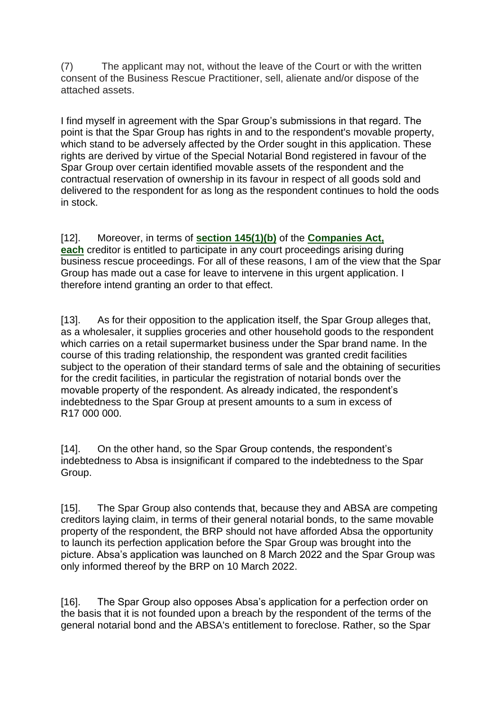(7) The applicant may not, without the leave of the Court or with the written consent of the Business Rescue Practitioner, sell, alienate and/or dispose of the attached assets.

I find myself in agreement with the Spar Group's submissions in that regard. The point is that the Spar Group has rights in and to the respondent's movable property, which stand to be adversely affected by the Order sought in this application. These rights are derived by virtue of the Special Notarial Bond registered in favour of the Spar Group over certain identified movable assets of the respondent and the contractual reservation of ownership in its favour in respect of all goods sold and delivered to the respondent for as long as the respondent continues to hold the oods in stock.

[12]. Moreover, in terms of **[section 145\(1\)\(b\)](http://www.saflii.org/za/legis/consol_act/ca2008107/index.html#s145)** of the **[Companies Act,](http://www.saflii.org/za/legis/consol_act/ca2008107/)  [each](http://www.saflii.org/za/legis/consol_act/ca2008107/)** creditor is entitled to participate in any court proceedings arising during business rescue proceedings. For all of these reasons, I am of the view that the Spar Group has made out a case for leave to intervene in this urgent application. I therefore intend granting an order to that effect.

[13]. As for their opposition to the application itself, the Spar Group alleges that, as a wholesaler, it supplies groceries and other household goods to the respondent which carries on a retail supermarket business under the Spar brand name. In the course of this trading relationship, the respondent was granted credit facilities subject to the operation of their standard terms of sale and the obtaining of securities for the credit facilities, in particular the registration of notarial bonds over the movable property of the respondent. As already indicated, the respondent's indebtedness to the Spar Group at present amounts to a sum in excess of R17 000 000.

[14]. On the other hand, so the Spar Group contends, the respondent's indebtedness to Absa is insignificant if compared to the indebtedness to the Spar Group.

[15]. The Spar Group also contends that, because they and ABSA are competing creditors laying claim, in terms of their general notarial bonds, to the same movable property of the respondent, the BRP should not have afforded Absa the opportunity to launch its perfection application before the Spar Group was brought into the picture. Absa's application was launched on 8 March 2022 and the Spar Group was only informed thereof by the BRP on 10 March 2022.

[16]. The Spar Group also opposes Absa's application for a perfection order on the basis that it is not founded upon a breach by the respondent of the terms of the general notarial bond and the ABSA's entitlement to foreclose. Rather, so the Spar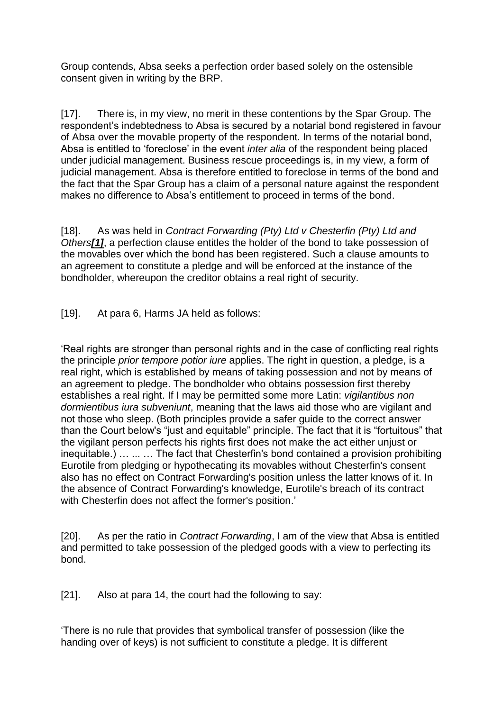Group contends, Absa seeks a perfection order based solely on the ostensible consent given in writing by the BRP.

[17]. There is, in my view, no merit in these contentions by the Spar Group. The respondent's indebtedness to Absa is secured by a notarial bond registered in favour of Absa over the movable property of the respondent. In terms of the notarial bond, Absa is entitled to 'foreclose' in the event *inter alia* of the respondent being placed under judicial management. Business rescue proceedings is, in my view, a form of judicial management. Absa is therefore entitled to foreclose in terms of the bond and the fact that the Spar Group has a claim of a personal nature against the respondent makes no difference to Absa's entitlement to proceed in terms of the bond.

[18]. As was held in *Contract Forwarding (Pty) Ltd v Chesterfin (Pty) Ltd and Others[\[1\]](http://www.saflii.org/za/cases/ZAGPJHC/2022/173.html#_ftn1)*, a perfection clause entitles the holder of the bond to take possession of the movables over which the bond has been registered. Such a clause amounts to an agreement to constitute a pledge and will be enforced at the instance of the bondholder, whereupon the creditor obtains a real right of security.

[19]. At para 6, Harms JA held as follows:

'Real rights are stronger than personal rights and in the case of conflicting real rights the principle *prior tempore potior iure* applies. The right in question, a pledge, is a real right, which is established by means of taking possession and not by means of an agreement to pledge. The bondholder who obtains possession first thereby establishes a real right. If I may be permitted some more Latin: *vigilantibus non dormientibus iura subveniunt*, meaning that the laws aid those who are vigilant and not those who sleep. (Both principles provide a safer guide to the correct answer than the Court below's "just and equitable" principle. The fact that it is "fortuitous" that the vigilant person perfects his rights first does not make the act either unjust or inequitable.) … ... … The fact that Chesterfin's bond contained a provision prohibiting Eurotile from pledging or hypothecating its movables without Chesterfin's consent also has no effect on Contract Forwarding's position unless the latter knows of it. In the absence of Contract Forwarding's knowledge, Eurotile's breach of its contract with Chesterfin does not affect the former's position.'

[20]. As per the ratio in *Contract Forwarding*, I am of the view that Absa is entitled and permitted to take possession of the pledged goods with a view to perfecting its bond.

[21]. Also at para 14, the court had the following to say:

'There is no rule that provides that symbolical transfer of possession (like the handing over of keys) is not sufficient to constitute a pledge. It is different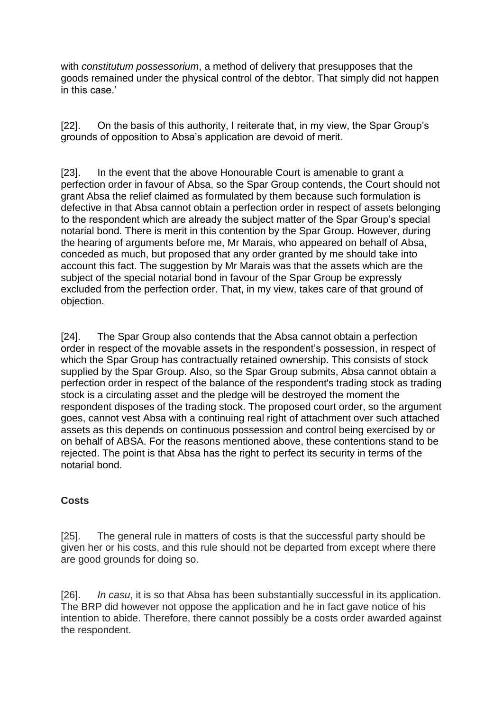with *constitutum possessorium*, a method of delivery that presupposes that the goods remained under the physical control of the debtor. That simply did not happen in this case.'

[22]. On the basis of this authority, I reiterate that, in my view, the Spar Group's grounds of opposition to Absa's application are devoid of merit.

[23]. In the event that the above Honourable Court is amenable to grant a perfection order in favour of Absa, so the Spar Group contends, the Court should not grant Absa the relief claimed as formulated by them because such formulation is defective in that Absa cannot obtain a perfection order in respect of assets belonging to the respondent which are already the subject matter of the Spar Group's special notarial bond. There is merit in this contention by the Spar Group. However, during the hearing of arguments before me, Mr Marais, who appeared on behalf of Absa, conceded as much, but proposed that any order granted by me should take into account this fact. The suggestion by Mr Marais was that the assets which are the subject of the special notarial bond in favour of the Spar Group be expressly excluded from the perfection order. That, in my view, takes care of that ground of objection.

[24]. The Spar Group also contends that the Absa cannot obtain a perfection order in respect of the movable assets in the respondent's possession, in respect of which the Spar Group has contractually retained ownership. This consists of stock supplied by the Spar Group. Also, so the Spar Group submits, Absa cannot obtain a perfection order in respect of the balance of the respondent's trading stock as trading stock is a circulating asset and the pledge will be destroyed the moment the respondent disposes of the trading stock. The proposed court order, so the argument goes, cannot vest Absa with a continuing real right of attachment over such attached assets as this depends on continuous possession and control being exercised by or on behalf of ABSA. For the reasons mentioned above, these contentions stand to be rejected. The point is that Absa has the right to perfect its security in terms of the notarial bond.

## **Costs**

[25]. The general rule in matters of costs is that the successful party should be given her or his costs, and this rule should not be departed from except where there are good grounds for doing so.

[26]. *In casu*, it is so that Absa has been substantially successful in its application. The BRP did however not oppose the application and he in fact gave notice of his intention to abide. Therefore, there cannot possibly be a costs order awarded against the respondent.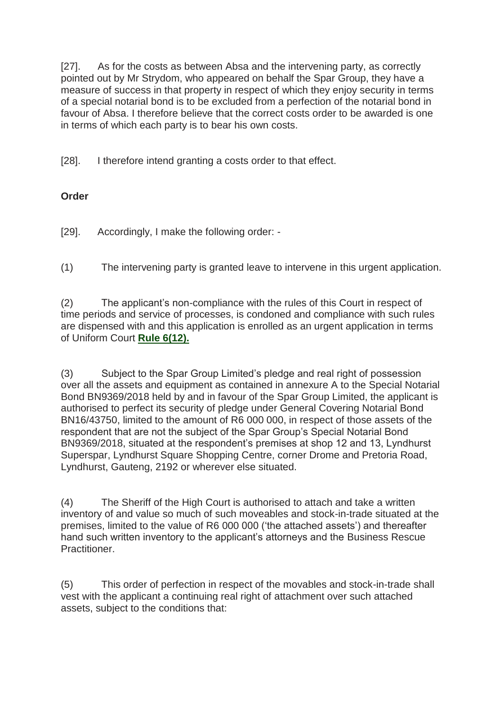[27]. As for the costs as between Absa and the intervening party, as correctly pointed out by Mr Strydom, who appeared on behalf the Spar Group, they have a measure of success in that property in respect of which they enjoy security in terms of a special notarial bond is to be excluded from a perfection of the notarial bond in favour of Absa. I therefore believe that the correct costs order to be awarded is one in terms of which each party is to bear his own costs.

[28]. I therefore intend granting a costs order to that effect.

# **Order**

[29]. Accordingly, I make the following order: -

(1) The intervening party is granted leave to intervene in this urgent application.

(2) The applicant's non-compliance with the rules of this Court in respect of time periods and service of processes, is condoned and compliance with such rules are dispensed with and this application is enrolled as an urgent application in terms of Uniform Court **[Rule 6\(12\).](http://www.saflii.org/za/legis/consol_act/ca2008107/index.html#s6)**

(3) Subject to the Spar Group Limited's pledge and real right of possession over all the assets and equipment as contained in annexure A to the Special Notarial Bond BN9369/2018 held by and in favour of the Spar Group Limited, the applicant is authorised to perfect its security of pledge under General Covering Notarial Bond BN16/43750, limited to the amount of R6 000 000, in respect of those assets of the respondent that are not the subject of the Spar Group's Special Notarial Bond BN9369/2018, situated at the respondent's premises at shop 12 and 13, Lyndhurst Superspar, Lyndhurst Square Shopping Centre, corner Drome and Pretoria Road, Lyndhurst, Gauteng, 2192 or wherever else situated.

(4) The Sheriff of the High Court is authorised to attach and take a written inventory of and value so much of such moveables and stock-in-trade situated at the premises, limited to the value of R6 000 000 ('the attached assets') and thereafter hand such written inventory to the applicant's attorneys and the Business Rescue Practitioner.

(5) This order of perfection in respect of the movables and stock-in-trade shall vest with the applicant a continuing real right of attachment over such attached assets, subject to the conditions that: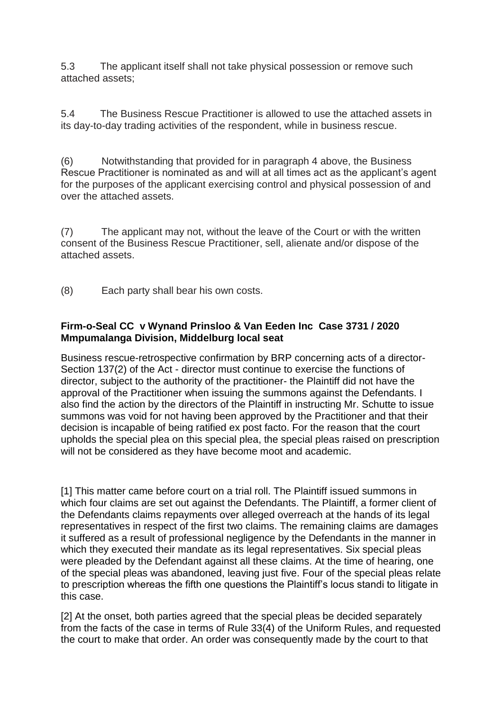5.3 The applicant itself shall not take physical possession or remove such attached assets;

5.4 The Business Rescue Practitioner is allowed to use the attached assets in its day-to-day trading activities of the respondent, while in business rescue.

(6) Notwithstanding that provided for in paragraph 4 above, the Business Rescue Practitioner is nominated as and will at all times act as the applicant's agent for the purposes of the applicant exercising control and physical possession of and over the attached assets.

(7) The applicant may not, without the leave of the Court or with the written consent of the Business Rescue Practitioner, sell, alienate and/or dispose of the attached assets.

(8) Each party shall bear his own costs.

### **Firm-o-Seal CC v Wynand Prinsloo & Van Eeden Inc Case 3731 / 2020 Mmpumalanga Division, Middelburg local seat**

Business rescue-retrospective confirmation by BRP concerning acts of a director-Section 137(2) of the Act - director must continue to exercise the functions of director, subject to the authority of the practitioner- the Plaintiff did not have the approval of the Practitioner when issuing the summons against the Defendants. I also find the action by the directors of the Plaintiff in instructing Mr. Schutte to issue summons was void for not having been approved by the Practitioner and that their decision is incapable of being ratified ex post facto. For the reason that the court upholds the special plea on this special plea, the special pleas raised on prescription will not be considered as they have become moot and academic.

[1] This matter came before court on a trial roll. The Plaintiff issued summons in which four claims are set out against the Defendants. The Plaintiff, a former client of the Defendants claims repayments over alleged overreach at the hands of its legal representatives in respect of the first two claims. The remaining claims are damages it suffered as a result of professional negligence by the Defendants in the manner in which they executed their mandate as its legal representatives. Six special pleas were pleaded by the Defendant against all these claims. At the time of hearing, one of the special pleas was abandoned, leaving just five. Four of the special pleas relate to prescription whereas the fifth one questions the Plaintiff's locus standi to litigate in this case.

[2] At the onset, both parties agreed that the special pleas be decided separately from the facts of the case in terms of Rule 33(4) of the Uniform Rules, and requested the court to make that order. An order was consequently made by the court to that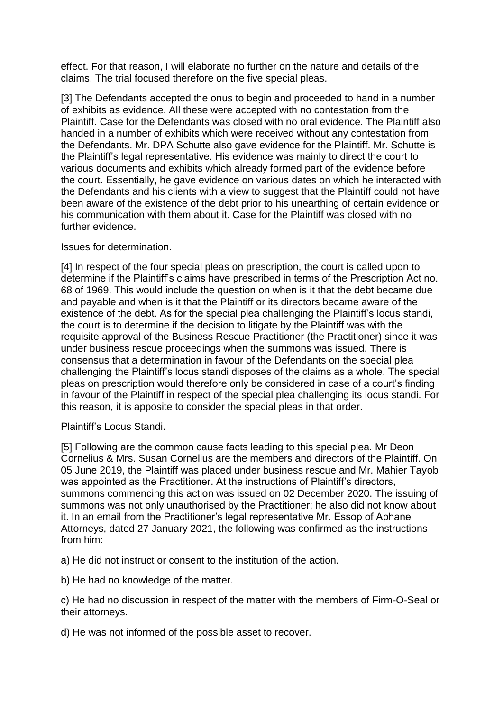effect. For that reason, I will elaborate no further on the nature and details of the claims. The trial focused therefore on the five special pleas.

[3] The Defendants accepted the onus to begin and proceeded to hand in a number of exhibits as evidence. All these were accepted with no contestation from the Plaintiff. Case for the Defendants was closed with no oral evidence. The Plaintiff also handed in a number of exhibits which were received without any contestation from the Defendants. Mr. DPA Schutte also gave evidence for the Plaintiff. Mr. Schutte is the Plaintiff's legal representative. His evidence was mainly to direct the court to various documents and exhibits which already formed part of the evidence before the court. Essentially, he gave evidence on various dates on which he interacted with the Defendants and his clients with a view to suggest that the Plaintiff could not have been aware of the existence of the debt prior to his unearthing of certain evidence or his communication with them about it. Case for the Plaintiff was closed with no further evidence.

Issues for determination.

[4] In respect of the four special pleas on prescription, the court is called upon to determine if the Plaintiff's claims have prescribed in terms of the Prescription Act no. 68 of 1969. This would include the question on when is it that the debt became due and payable and when is it that the Plaintiff or its directors became aware of the existence of the debt. As for the special plea challenging the Plaintiff's locus standi, the court is to determine if the decision to litigate by the Plaintiff was with the requisite approval of the Business Rescue Practitioner (the Practitioner) since it was under business rescue proceedings when the summons was issued. There is consensus that a determination in favour of the Defendants on the special plea challenging the Plaintiff's locus standi disposes of the claims as a whole. The special pleas on prescription would therefore only be considered in case of a court's finding in favour of the Plaintiff in respect of the special plea challenging its locus standi. For this reason, it is apposite to consider the special pleas in that order.

Plaintiff's Locus Standi.

[5] Following are the common cause facts leading to this special plea. Mr Deon Cornelius & Mrs. Susan Cornelius are the members and directors of the Plaintiff. On 05 June 2019, the Plaintiff was placed under business rescue and Mr. Mahier Tayob was appointed as the Practitioner. At the instructions of Plaintiff's directors, summons commencing this action was issued on 02 December 2020. The issuing of summons was not only unauthorised by the Practitioner; he also did not know about it. In an email from the Practitioner's legal representative Mr. Essop of Aphane Attorneys, dated 27 January 2021, the following was confirmed as the instructions from him:

a) He did not instruct or consent to the institution of the action.

b) He had no knowledge of the matter.

c) He had no discussion in respect of the matter with the members of Firm-O-Seal or their attorneys.

d) He was not informed of the possible asset to recover.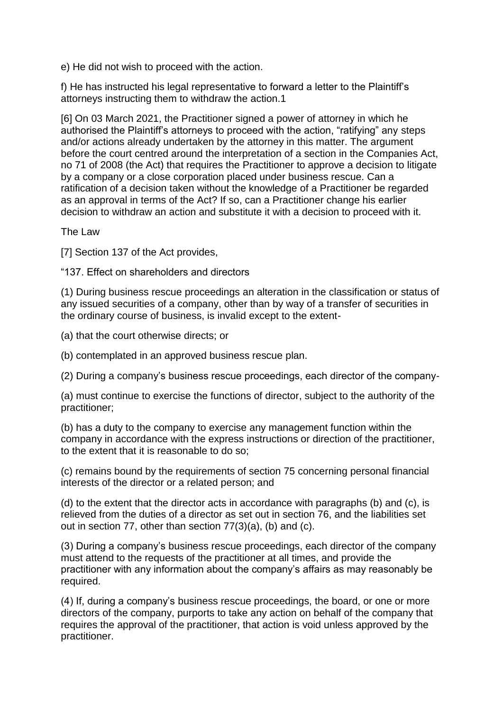e) He did not wish to proceed with the action.

f) He has instructed his legal representative to forward a letter to the Plaintiff's attorneys instructing them to withdraw the action.1

[6] On 03 March 2021, the Practitioner signed a power of attorney in which he authorised the Plaintiff's attorneys to proceed with the action, "ratifying" any steps and/or actions already undertaken by the attorney in this matter. The argument before the court centred around the interpretation of a section in the Companies Act, no 71 of 2008 (the Act) that requires the Practitioner to approve a decision to litigate by a company or a close corporation placed under business rescue. Can a ratification of a decision taken without the knowledge of a Practitioner be regarded as an approval in terms of the Act? If so, can a Practitioner change his earlier decision to withdraw an action and substitute it with a decision to proceed with it.

The Law

[7] Section 137 of the Act provides,

"137. Effect on shareholders and directors

(1) During business rescue proceedings an alteration in the classification or status of any issued securities of a company, other than by way of a transfer of securities in the ordinary course of business, is invalid except to the extent-

(a) that the court otherwise directs; or

(b) contemplated in an approved business rescue plan.

(2) During a company's business rescue proceedings, each director of the company-

(a) must continue to exercise the functions of director, subject to the authority of the practitioner;

(b) has a duty to the company to exercise any management function within the company in accordance with the express instructions or direction of the practitioner, to the extent that it is reasonable to do so;

(c) remains bound by the requirements of section 75 concerning personal financial interests of the director or a related person; and

(d) to the extent that the director acts in accordance with paragraphs (b) and (c), is relieved from the duties of a director as set out in section 76, and the liabilities set out in section 77, other than section 77(3)(a), (b) and (c).

(3) During a company's business rescue proceedings, each director of the company must attend to the requests of the practitioner at all times, and provide the practitioner with any information about the company's affairs as may reasonably be required.

(4) If, during a company's business rescue proceedings, the board, or one or more directors of the company, purports to take any action on behalf of the company that requires the approval of the practitioner, that action is void unless approved by the practitioner.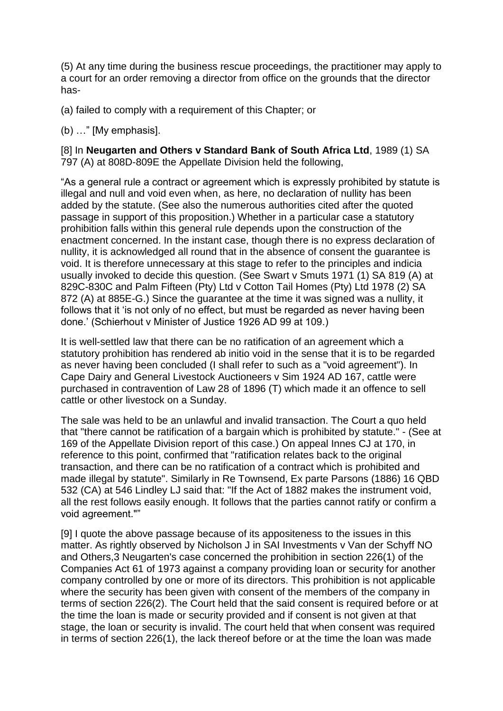(5) At any time during the business rescue proceedings, the practitioner may apply to a court for an order removing a director from office on the grounds that the director has-

(a) failed to comply with a requirement of this Chapter; or

(b) …" [My emphasis].

[8] In **Neugarten and Others v Standard Bank of South Africa Ltd**, 1989 (1) SA 797 (A) at 808D-809E the Appellate Division held the following,

"As a general rule a contract or agreement which is expressly prohibited by statute is illegal and null and void even when, as here, no declaration of nullity has been added by the statute. (See also the numerous authorities cited after the quoted passage in support of this proposition.) Whether in a particular case a statutory prohibition falls within this general rule depends upon the construction of the enactment concerned. In the instant case, though there is no express declaration of nullity, it is acknowledged all round that in the absence of consent the guarantee is void. It is therefore unnecessary at this stage to refer to the principles and indicia usually invoked to decide this question. (See Swart v Smuts 1971 (1) SA 819 (A) at 829C-830C and Palm Fifteen (Pty) Ltd v Cotton Tail Homes (Pty) Ltd 1978 (2) SA 872 (A) at 885E-G.) Since the guarantee at the time it was signed was a nullity, it follows that it 'is not only of no effect, but must be regarded as never having been done.' (Schierhout v Minister of Justice 1926 AD 99 at 109.)

It is well-settled law that there can be no ratification of an agreement which a statutory prohibition has rendered ab initio void in the sense that it is to be regarded as never having been concluded (I shall refer to such as a "void agreement"). In Cape Dairy and General Livestock Auctioneers v Sim 1924 AD 167, cattle were purchased in contravention of Law 28 of 1896 (T) which made it an offence to sell cattle or other livestock on a Sunday.

The sale was held to be an unlawful and invalid transaction. The Court a quo held that "there cannot be ratification of a bargain which is prohibited by statute." - (See at 169 of the Appellate Division report of this case.) On appeal Innes CJ at 170, in reference to this point, confirmed that "ratification relates back to the original transaction, and there can be no ratification of a contract which is prohibited and made illegal by statute". Similarly in Re Townsend, Ex parte Parsons (1886) 16 QBD 532 (CA) at 546 Lindley LJ said that: "If the Act of 1882 makes the instrument void, all the rest follows easily enough. It follows that the parties cannot ratify or confirm a void agreement.""

[9] I quote the above passage because of its appositeness to the issues in this matter. As rightly observed by Nicholson J in SAI Investments v Van der Schyff NO and Others,3 Neugarten's case concerned the prohibition in section 226(1) of the Companies Act 61 of 1973 against a company providing loan or security for another company controlled by one or more of its directors. This prohibition is not applicable where the security has been given with consent of the members of the company in terms of section 226(2). The Court held that the said consent is required before or at the time the loan is made or security provided and if consent is not given at that stage, the loan or security is invalid. The court held that when consent was required in terms of section 226(1), the lack thereof before or at the time the loan was made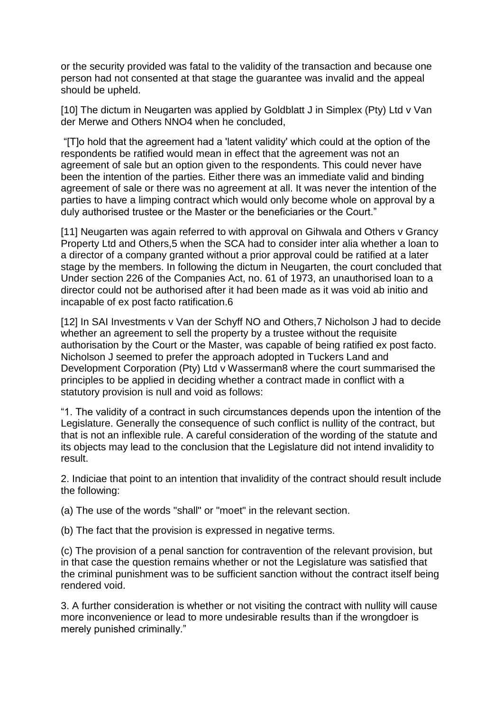or the security provided was fatal to the validity of the transaction and because one person had not consented at that stage the guarantee was invalid and the appeal should be upheld.

[10] The dictum in Neugarten was applied by Goldblatt J in Simplex (Pty) Ltd v Van der Merwe and Others NNO4 when he concluded,

"[T]o hold that the agreement had a 'latent validity' which could at the option of the respondents be ratified would mean in effect that the agreement was not an agreement of sale but an option given to the respondents. This could never have been the intention of the parties. Either there was an immediate valid and binding agreement of sale or there was no agreement at all. It was never the intention of the parties to have a limping contract which would only become whole on approval by a duly authorised trustee or the Master or the beneficiaries or the Court."

[11] Neugarten was again referred to with approval on Gihwala and Others v Grancy Property Ltd and Others,5 when the SCA had to consider inter alia whether a loan to a director of a company granted without a prior approval could be ratified at a later stage by the members. In following the dictum in Neugarten, the court concluded that Under section 226 of the Companies Act, no. 61 of 1973, an unauthorised loan to a director could not be authorised after it had been made as it was void ab initio and incapable of ex post facto ratification.6

[12] In SAI Investments v Van der Schyff NO and Others,7 Nicholson J had to decide whether an agreement to sell the property by a trustee without the requisite authorisation by the Court or the Master, was capable of being ratified ex post facto. Nicholson J seemed to prefer the approach adopted in Tuckers Land and Development Corporation (Pty) Ltd v Wasserman8 where the court summarised the principles to be applied in deciding whether a contract made in conflict with a statutory provision is null and void as follows:

"1. The validity of a contract in such circumstances depends upon the intention of the Legislature. Generally the consequence of such conflict is nullity of the contract, but that is not an inflexible rule. A careful consideration of the wording of the statute and its objects may lead to the conclusion that the Legislature did not intend invalidity to result.

2. Indiciae that point to an intention that invalidity of the contract should result include the following:

(a) The use of the words "shall" or "moet" in the relevant section.

(b) The fact that the provision is expressed in negative terms.

(c) The provision of a penal sanction for contravention of the relevant provision, but in that case the question remains whether or not the Legislature was satisfied that the criminal punishment was to be sufficient sanction without the contract itself being rendered void.

3. A further consideration is whether or not visiting the contract with nullity will cause more inconvenience or lead to more undesirable results than if the wrongdoer is merely punished criminally."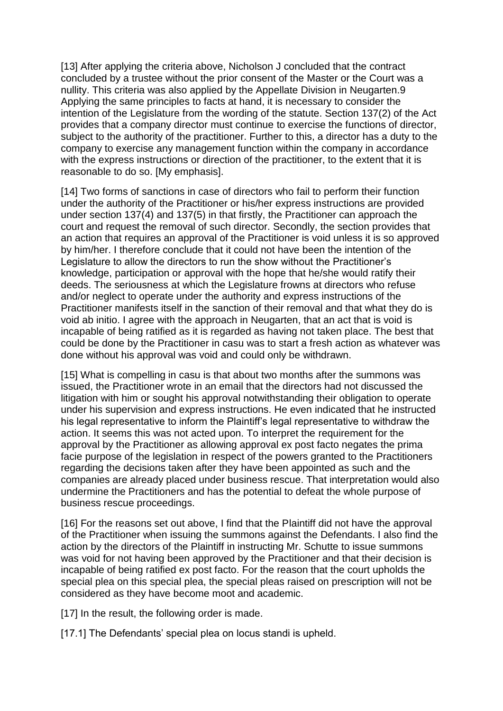[13] After applying the criteria above, Nicholson J concluded that the contract concluded by a trustee without the prior consent of the Master or the Court was a nullity. This criteria was also applied by the Appellate Division in Neugarten.9 Applying the same principles to facts at hand, it is necessary to consider the intention of the Legislature from the wording of the statute. Section 137(2) of the Act provides that a company director must continue to exercise the functions of director, subject to the authority of the practitioner. Further to this, a director has a duty to the company to exercise any management function within the company in accordance with the express instructions or direction of the practitioner, to the extent that it is reasonable to do so. [My emphasis].

[14] Two forms of sanctions in case of directors who fail to perform their function under the authority of the Practitioner or his/her express instructions are provided under section 137(4) and 137(5) in that firstly, the Practitioner can approach the court and request the removal of such director. Secondly, the section provides that an action that requires an approval of the Practitioner is void unless it is so approved by him/her. I therefore conclude that it could not have been the intention of the Legislature to allow the directors to run the show without the Practitioner's knowledge, participation or approval with the hope that he/she would ratify their deeds. The seriousness at which the Legislature frowns at directors who refuse and/or neglect to operate under the authority and express instructions of the Practitioner manifests itself in the sanction of their removal and that what they do is void ab initio. I agree with the approach in Neugarten, that an act that is void is incapable of being ratified as it is regarded as having not taken place. The best that could be done by the Practitioner in casu was to start a fresh action as whatever was done without his approval was void and could only be withdrawn.

[15] What is compelling in casu is that about two months after the summons was issued, the Practitioner wrote in an email that the directors had not discussed the litigation with him or sought his approval notwithstanding their obligation to operate under his supervision and express instructions. He even indicated that he instructed his legal representative to inform the Plaintiff's legal representative to withdraw the action. It seems this was not acted upon. To interpret the requirement for the approval by the Practitioner as allowing approval ex post facto negates the prima facie purpose of the legislation in respect of the powers granted to the Practitioners regarding the decisions taken after they have been appointed as such and the companies are already placed under business rescue. That interpretation would also undermine the Practitioners and has the potential to defeat the whole purpose of business rescue proceedings.

[16] For the reasons set out above, I find that the Plaintiff did not have the approval of the Practitioner when issuing the summons against the Defendants. I also find the action by the directors of the Plaintiff in instructing Mr. Schutte to issue summons was void for not having been approved by the Practitioner and that their decision is incapable of being ratified ex post facto. For the reason that the court upholds the special plea on this special plea, the special pleas raised on prescription will not be considered as they have become moot and academic.

[17] In the result, the following order is made.

[17.1] The Defendants' special plea on locus standi is upheld.